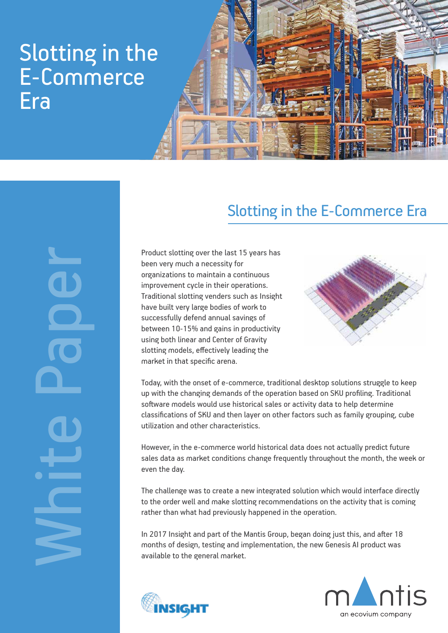## Slotting in the E-Commerce Era



## White Paper

## Slotting in the E-Commerce Era

Product slotting over the last 15 years has been very much a necessity for organizations to maintain a continuous improvement cycle in their operations. Traditional slotting venders such as Insight have built very large bodies of work to successfully defend annual savings of between 10-15% and gains in productivity using both linear and Center of Gravity slotting models, effectively leading the market in that specific arena.



Today, with the onset of e-commerce, traditional desktop solutions struggle to keep up with the changing demands of the operation based on SKU profiling. Traditional software models would use historical sales or activity data to help determine classifications of SKU and then layer on other factors such as family grouping, cube utilization and other characteristics.

However, in the e-commerce world historical data does not actually predict future sales data as market conditions change frequently throughout the month, the week or even the day.

The challenge was to create a new integrated solution which would interface directly to the order well and make slotting recommendations on the activity that is coming rather than what had previously happened in the operation.

In 2017 Insight and part of the Mantis Group, began doing just this, and after 18 months of design, testing and implementation, the new Genesis AI product was available to the general market.